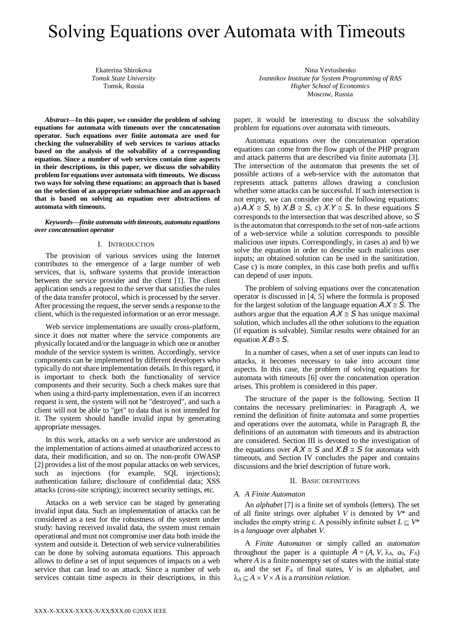# Solving Equations over Automata with Timeouts

Ekaterina Shirokova *Tomsk State University* Tomsk, Russia

*Abstract***—In this paper, we consider the problem of solving equations for automata with timeouts over the concatenation operator. Such equations over finite automata are used for checking the vulnerability of web services to various attacks based on the analysis of the solvability of a corresponding equation. Since a number of web services contain time aspects in their descriptions, in this paper, we discuss the solvability problem for equations over automata with timeouts. We discuss two ways for solving these equations: an approach that is based on the selection of an appropriate submachine and an approach that is based on solving an equation over abstractions of automata with timeouts.**

*Keywords—finite automata with timeouts, automata equations over concatenation operator*

#### I. INTRODUCTION

The provision of various services using the Internet contributes to the emergence of a large number of web services, that is, software systems that provide interaction between the service provider and the client [1]. The client application sends a request to the server that satisfies the rules of the data transfer protocol, which is processed by the server. After processing the request, the server sends a response to the client, which is the requested information or an error message.

Web service implementations are usually cross-platform, since it does not matter where the service components are physically located and/or the language in which one or another module of the service system is written. Accordingly, service components can be implemented by different developers who typically do not share implementation details. In this regard, it is important to check both the functionality of service components and their security. Such a check makes sure that when using a third-party implementation, even if an incorrect request is sent, the system will not be "destroyed", and such a client will not be able to "get" to data that is not intended for it. The system should handle invalid input by generating appropriate messages.

In this work, attacks on a web service are understood as the implementation of actions aimed at unauthorized access to data, their modification, and so on. The non-profit OWASP [2] provides a list of the most popular attacks on web services, such as injections (for example, SQL injections); authentication failure; disclosure of confidential data; XSS attacks (cross-site scripting); incorrect security settings, etc.

Attacks on a web service can be staged by generating invalid input data. Such an implementation of attacks can be considered as a test for the robustness of the system under study: having received invalid data, the system must remain operational and must not compromise user data both inside the system and outside it. Detection of web service vulnerabilities can be done by solving automata equations. This approach allows to define a set of input sequences of impacts on a web service that can lead to an attack. Since a number of web services contain time aspects in their descriptions, in this

Nina Yevtushenko *Ivannikov Institute for System Programming of RAS Higher School of Economics* Moscow, Russia

paper, it would be interesting to discuss the solvability problem for equations over automata with timeouts.

Automata equations over the concatenation operation equations can come from the flow graph of the PHP program and attack patterns that are described via finite automata [3]. The intersection of the automaton that presents the set of possible actions of a web-service with the automaton that represents attack patterns allows drawing a conclusion whether some attacks can be successful. If such intersection is not empty, we can consider one of the following equations: a)  $A.X \cong S$ , b)  $X.B \cong S$ , c)  $X.Y \cong S$ . In these equations *S* corresponds to the intersection that was described above, so *S* is the automaton that corresponds to the set of non-safe actions of a web-service while a solution corresponds to possible malicious user inputs. Correspondingly, in cases a) and b) we solve the equation in order to describe such malicious user inputs; an obtained solution can be used in the sanitization. Case c) is more complex, in this case both prefix and suffix can depend of user inputs.

The problem of solving equations over the concatenation operator is discussed in [4, 5] where the formula is proposed for the largest solution of the language equation  $A.X \cong S$ . The authors argue that the equation  $A.X \cong S$  has unique maximal solution, which includes all the other solutions to the equation (if equation is solvable). Similar results were obtained for an equation  $X.B \cong S$ .

In a number of cases, when a set of user inputs can lead to attacks, it becomes necessary to take into account time aspects. In this case, the problem of solving equations for automata with timeouts [6] over the concatenation operation arises. This problem is considered in this paper.

The structure of the paper is the following. Section II contains the necessary preliminaries: in Paragraph *A*, we remind the definition of finite automata and some properties and operations over the automata, while in Paragraph *B*, the definitions of an automaton with timeouts and its abstraction are considered. Section III is devoted to the investigation of the equations over  $A.X \cong S$  and  $X.B \cong S$  for automata with timeouts, and Section IV concludes the paper and contains discussions and the brief description of future work.

## II. BASIC DEFINITIONS

#### *A. A Finite Automaton*

An *alphabet* [7] is a finite set of symbols (letters). The set of all finite strings over alphabet *V* is denoted by *V*\* and includes the empty string  $\varepsilon$ . A possibly infinite subset  $L \subset V^*$ is a *language* over alphabet *V*.

A *Finite Automaton* or simply called an *automaton* throughout the paper is a quintuple  $A = (A, V, \lambda_A, a_0, F_A)$ where *A* is a finite nonempty set of states with the initial state *a*<sup>0</sup> and the set *F<sup>A</sup>* of final states, *V* is an alphabet, and  $\lambda_A \subseteq A \times V \times A$  is a *transition relation*.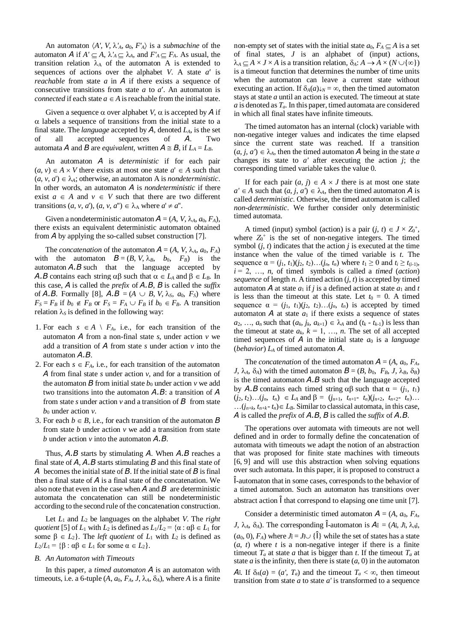An automaton  $\langle A', V, \lambda', A, a_0, F'_{A} \rangle$  is a *submachine* of the automaton *A* if  $A' \subseteq A$ ,  $\lambda'_A \subseteq \lambda_A$ , and  $F'_A \subseteq F_A$ . As usual, the transition relation  $\lambda_A$  of the automaton A is extended to sequences of actions over the alphabet *V*. A state *a'* is *reachable* from state *a* in *A* if there exists a sequence of consecutive transitions from state *a* to *a*. An automaton is *connected* if each state  $a \in A$  is reachable from the initial state.

Given a sequence  $\alpha$  over alphabet *V*,  $\alpha$  is accepted by *A* if  $\alpha$  labels a sequence of transitions from the initial state to a final state. The *language* accepted by *A*, denoted *LA*, is the set of all accepted sequences of *A*. Two automata *A* and *B* are *equivalent*, written  $A \cong B$ , if  $L_A = L_B$ .

An automaton *A* is *deterministic* if for each pair  $(a, v) \in A \times V$  there exists at most one state  $a' \in A$  such that  $(a, v, a') \in \lambda_A$ ; otherwise, an automaton A is *nondeterministic*. In other words, an automaton *A* is *nondeterministic* if there exist  $a \in A$  and  $v \in V$  such that there are two different transitions  $(a, v, a')$ ,  $(a, v, a'') \in \lambda_A$  where  $a' \neq a''$ .

Given a nondeterministic automaton  $A = (A, V, \lambda_A, a_0, F_A)$ , there exists an equivalent deterministic automaton obtained from *A* by applying the so-called subset construction [7].

The *concatenation* of the automaton  $A = (A, V, \lambda_A, a_0, F_A)$ with the automaton  $B = (B, V, \lambda_B, b_0, F_B)$  is the automaton *A.B* such that the language accepted by *A.B* contains each string  $\alpha\beta$  such that  $\alpha \in L_A$  and  $\beta \in L_B$ . In this case, *A* is called the *prefix* of *A.B*, *B* is called the *suffix* of *A.B.* Formally [8],  $A.B = (A \cup B, V, \lambda_s, a_0, F_s)$  where  $F_S = F_B$  if  $b_0 \notin F_B$  or  $F_S = F_A \cup F_B$  if  $b_0 \in F_B$ . A transition relation  $\lambda_s$  is defined in the following way:

- 1. For each  $s \in A \setminus F_A$ , i.e., for each transition of the automaton *A* from a non-final state *s*, under action *v* we add a transition of *A* from state *s* under action *v* into the automaton *A.B*.
- 2. For each  $s \in F_A$ , i.e., for each transition of the automaton *A* from final state *s* under action *v*, and for a transition of the automaton  $\bm{B}$  from initial state  $b_0$  under action  $v$  we add two transitions into the automaton *A.B*: a transition of *A* from state *s* under action  $v$  and a transition of  $\bm{B}$  from state *b*<sup>0</sup> under action *v*.
- 3. For each  $b \in B$ , i.e., for each transition of the automaton  $B$ from state *b* under action *v* we add a transition from state *b* under action *v* into the automaton *A.B*.

Thus, *A.B* starts by stimulating *A*. When *A.B* reaches a final state of *A*, *A.B* starts stimulating *B* and this final state of *A* becomes the initial state of *B*. If the initial state of *B* is final then a final state of *A* is a final state of the concatenation. We also note that even in the case when *A* and *B* are deterministic automata the concatenation can still be nondeterministic according to the second rule of the concatenation construction.

Let *L*<sup>1</sup> and *L*<sup>2</sup> be languages on the alphabet *V*. The *right quotient* [5] of  $L_1$  with  $L_2$  is defined as  $L_1/L_2 = {\alpha : \alpha \beta \in L_1 \text{ for }}$ some  $\beta \in L_2$ . The *left quotient* of  $L_1$  with  $L_2$  is defined as  $L_2/L_1 = {\beta : \alpha\beta \in L_1 \text{ for some } \alpha \in L_2}.$ 

## *B. An Automaton with Timeouts*

In this paper, a *timed automaton A* is an automaton with timeouts, i.e. a 6-tuple  $(A, a_0, F_A, J, \lambda_A, \delta_A)$ , where *A* is a finite

non-empty set of states with the initial state  $a_0$ ,  $F_A \subseteq A$  is a set of final states, *J* is an alphabet of (input) actions,  $\lambda_A \subset A \times J \times A$  is a transition relation,  $\delta_A: A \to A \times (N \cup \{\infty\})$ is a timeout function that determines the number of time units when the automaton can leave a current state without executing an action. If  $\delta_A(a)\psi_N = \infty$ , then the timed automaton stays at state *a* until an action is executed. The timeout at state *a* is denoted as *Ta*. In this paper, timed automata are considered in which all final states have infinite timeouts.

The timed automaton has an internal (clock) variable with non-negative integer values and indicates the time elapsed since the current state was reached. If a transition  $(a, j, a') \in \lambda_A$ , then the timed automaton A being in the state *a* changes its state to *a'* after executing the action *j*; the corresponding timed variable takes the value 0.

If for each pair  $(a, j) \in A \times J$  there is at most one state  $a' \in A$  such that  $(a, j, a') \in \lambda_A$ , then the timed automaton *A* is called *deterministic*. Otherwise, the timed automaton is called *non-deterministic*. We further consider only deterministic timed automata.

A timed (input) symbol (action) is a pair  $(j, t) \in J \times Z_0^+$ , where  $Z_0^+$  is the set of non-negative integers. The timed symbol  $(i, t)$  indicates that the action  $j$  is executed at the time instance when the value of the timed variable is *t*. The sequence  $\alpha = (i_1, t_1)(i_2, t_2)...(i_n, t_n)$  where  $t_1 \geq 0$  and  $t_i \geq t_{(i-1)}$ ,  $i = 2, \ldots, n$ , of timed symbols is called a *timed (action) sequence* of length *n*. A timed action  $(i, t)$  is accepted by timed automaton *A* at state  $a_1$  if *j* is a defined action at state  $a_1$  and *t* is less than the timeout at this state. Let  $t_0 = 0$ . A timed sequence  $\alpha = (j_1, t_1)(j_2, t_2)...(j_n, t_n)$  is accepted by timed automaton  $\bf{A}$  at state  $a_1$  if there exists a sequence of states  $a_2, \ldots, a_n$  such that  $(a_k, j_k, a_{k+1}) \in \lambda_A$  and  $(t_k - t_{k-1})$  is less than the timeout at state  $a_k$ ,  $k = 1, \ldots, n$ . The set of all accepted timed sequences of  $\vec{A}$  in the initial state  $a_0$  is a *language* (*behavior*) *L<sup>A</sup>* of timed automaton *A*.

The *concatenation* of the timed automaton  $A = (A, a_0, F_A, A_0)$ *J*,  $\lambda_A$ ,  $\delta_A$ ) with the timed automaton  $\mathbf{B} = (B, b_0, F_B, J, \lambda_B, \delta_B)$ is the timed automaton *A.B* such that the language accepted by *A.B* contains each timed string αβ such that  $α = (i_1, t_1)$  $(j_2, t_2)...(j_n, t_n) \in L_A$  and  $\beta = (j_{n+1}, t_{n+1}-t_n)(j_{n+2}, t_{n+2}-t_n)...$  $\ldots$  $(j_{n+k}, t_{n+k} - t_n) \in L_B$ . Similar to classical automata, in this case, *A* is called the *prefix* of *A.B*, *B* is called the *suffix* of *A.B*.

The operations over automata with timeouts are not well defined and in order to formally define the concatenation of automata with timeouts we adapt the notion of an abstraction that was proposed for finite state machines with timeouts [6, 9] and will use this abstraction when solving equations over such automata. In this paper, it is proposed to construct a Î-automaton that in some cases, corresponds to the behavior of a timed automaton. Such an automaton has transitions over abstract action Î that correspond to elapsing one time unit [7].

Consider a deterministic timed automaton  $A = (A, a_0, F_A, A_0)$ *J*,  $\lambda_A$ ,  $\delta_A$ ). The corresponding  $\hat{\mathbf{l}}$ -automaton is  $\mathbf{A} \hat{\mathbf{l}} = (A\hat{\mathbf{i}}, J\hat{\mathbf{i}}, \lambda_A \hat{\mathbf{i}}, J\hat{\mathbf{j}})$  $(a_0, 0)$ ,  $F_A$ ) where  $J\hat{i} = J\cup {\hat{i}}$  while the set of states has a state  $(a, t)$  where  $t$  is a non-negative integer if there is a finite timeout  $T_a$  at state *a* that is bigger than *t*. If the timeout  $T_a$  at state  $a$  is the infinity, then there is state  $(a, 0)$  in the automaton *A*î. If  $\delta_A(a) = (a', T_a)$  and the timeout  $T_a < \infty$ , then timeout transition from state *a* to state *a'* is transformed to a sequence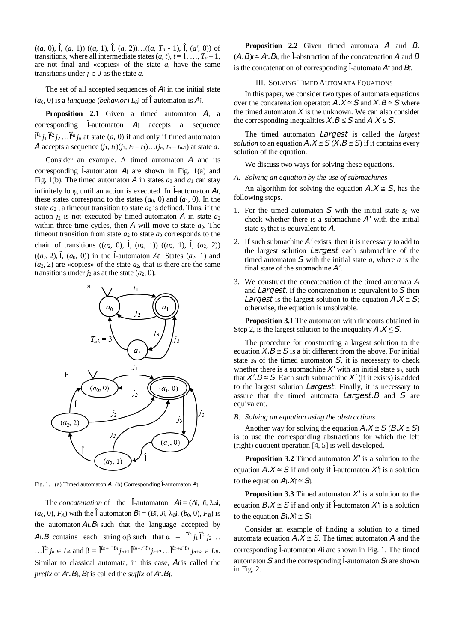((*a*, 0), Î, (*a*, 1)) ((*a*, 1), Î, (*a*, 2))…((*a*, *T<sup>a</sup>* - 1), Î, (*a'*, 0)) of transitions, where all intermediate states  $(a, t)$ ,  $t = 1, \ldots, T_a - 1$ , are not final and «copies» of the state *a*, have the same transitions under  $j \in J$  as the state *a*.

The set of all accepted sequences of  $A$ <sup> $\hat{i}$ </sup> in the initial state  $(a_0, 0)$  is a *language* (*behavior*)  $L_A$ <sup> $\hat{0}$ </sup>  $\hat{1}$ -automaton is  $A\hat{1}$ .

**Proposition 2.1** Given a timed automaton *A*, a corresponding Î-automaton *A*<sup>Î</sup> accepts a sequence  $\hat{I}^{t_1}j_1\hat{I}^{t_2}j_2\ldots\hat{I}^{t_n}j_n$  at state  $(a, 0)$  if and only if timed automaton *A* accepts a sequence  $(j_1, t_1)(j_2, t_2 - t_1)...(j_n, t_n - t_{n-1})$  at state *a*.

Consider an example. A timed automaton *A* and its corresponding Î-automaton *A*<sup>Î</sup> are shown in Fig. 1(a) and Fig. 1(b). The timed automaton *A* in states  $a_0$  and  $a_1$  can stay infinitely long until an action is executed. In Î-automaton *A*Î, these states correspond to the states  $(a_0, 0)$  and  $(a_1, 0)$ . In the state  $a_2$ , a timeout transition to state  $a_0$  is defined. Thus, if the action  $j_2$  is not executed by timed automaton  $\overline{A}$  in state  $a_2$ within three time cycles, then  $\vec{A}$  will move to state  $a_0$ . The timeout transition from state  $a_2$  to state  $a_0$  corresponds to the chain of transitions  $((a_2, 0), \hat{1}, (a_2, 1)) ((a_2, 1), \hat{1}, (a_2, 2))$  $((a_2, 2), \hat{1}, (a_0, 0))$  in the  $\hat{1}$ -automaton  $A_{\hat{1}}$ . States  $(a_2, 1)$  and  $(a_2, 2)$  are «copies» of the state  $a_2$ , that is there are the same transitions under  $j_2$  as at the state  $(a_2, 0)$ .



Fig. 1. (a) Timed automaton *A*; (b) Corresponding  $\hat{I}$ -automaton  $A\hat{I}$ 

The *concatenation* of the  $\hat{\textbf{l}}$ -automaton  $A\hat{\textbf{l}} = (A\hat{\textbf{l}}, J\hat{\textbf{l}}, \lambda_A\hat{\textbf{l}}, J\hat{\textbf{l}})$  $(a_0, 0)$ ,  $F_A$ ) with the  $\hat{I}$ -automaton  $B_{\hat{I}} = (B_{\hat{I}}, J_{\hat{I}}, \lambda_{\hat{B}})$ ,  $(b_0, 0)$ ,  $F_B$ ) is the automaton  $A_i$ .  $B_i$  such that the language accepted by  $A_1$  *B* contains each string  $\alpha\beta$  such that  $\alpha = \hat{\mathbf{l}}^{t_1}j_1 \hat{\mathbf{l}}^{t_2}j_2...$ ... $\hat{\mathbf{l}}^{t_n} j_n \in L_A$  and  $\beta = \hat{\mathbf{l}}^{t_{n+1}-t_n} j_{n+1} \hat{\mathbf{l}}^{t_{n+2}-t_n} j_{n+2} \dots \hat{\mathbf{l}}^{t_{n+k}-t_n} j_{n+k} \in L_B$ . Similar to classical automata, in this case,  $A$ î is called the *prefix* of  $A_1$ *. B* $_1$ *, B* $_1$  is called the *suffix* of  $A_1$ *. B* $_1$ *.* 

**Proposition 2.2** Given timed automata *A* and *B*.  $(A.B)$  $\hat{i} \cong A\hat{i}$ *.B* $\hat{j}$ , the  $\hat{i}$ -abstraction of the concatenation *A* and *B* is the concatenation of corresponding Î-automata *A*<sup>Î</sup> and *B*Î.

## III. SOLVING TIMED AUTOMATA EQUATIONS

In this paper, we consider two types of automata equations over the concatenation operator:  $A \cdot X \cong S$  and  $X \cdot B \cong S$  where the timed automaton  $X$  is the unknown. We can also consider the corresponding inequalities  $X.B \leq S$  and  $A.X \leq S$ .

The timed automaton *Largest* is called the *largest solution* to an equation  $A \cdot X \cong S$  ( $X \cdot B \cong S$ ) if it contains every solution of the equation.

We discuss two ways for solving these equations.

*A. Solving an equation by the use of submachines*

An algorithm for solving the equation  $A.X \cong S$ , has the following steps.

- 1. For the timed automaton  $S$  with the initial state  $s_0$  we check whether there is a submachine *A'* with the initial state *s*<sup>0</sup> that is equivalent to *A*.
- 2. If such submachine *A'* exists, then it is necessary to add to the largest solution *Largest* each submachine of the timed automaton *S* with the initial state *a*, where *a* is the final state of the submachine *A'*.
- 3. We construct the concatenation of the timed automata *A* and *Largest*. If the concatenation is equivalent to *S* then *Largest* is the largest solution to the equation  $A.X \cong S$ ; otherwise, the equation is unsolvable.

**Proposition 3.1** The automaton with timeouts obtained in Step 2, is the largest solution to the inequality  $A.X \leq S$ .

The procedure for constructing a largest solution to the equation  $X.B \cong S$  is a bit different from the above. For initial state *s*<sup>0</sup> of the timed automaton *S*, it is necessary to check whether there is a submachine  $X'$  with an initial state  $s_0$ , such that  $X'.B \cong S$ . Each such submachine  $X'$  (if it exists) is added to the largest solution *Largest*. Finally, it is necessary to assure that the timed automata *Largest.B* and *S* are equivalent.

## *B. Solving an equation using the abstractions*

Another way for solving the equation  $A.X \cong S(B.X \cong S)$ is to use the corresponding abstractions for which the left (right) quotient operation [4, 5] is well developed.

**Proposition 3.2** Timed automaton  $X'$  is a solution to the equation  $A.X \cong S$  if and only if  $\hat{I}$ -automaton  $X'$  is a solution to the equation  $A_1$ *.X* $_1 \cong S_1$ *.* 

**Proposition 3.3** Timed automaton  $X'$  is a solution to the equation  $B.X \cong S$  if and only if  $\hat{I}$ -automaton  $X'$  is a solution to the equation  $B_1 \cdot X_1 \cong S_1$ .

Consider an example of finding a solution to a timed automata equation  $A.X \cong S$ . The timed automaton *A* and the corresponding Î-automaton *A*<sup>Î</sup> are shown in Fig. 1. The timed automaton *S* and the corresponding Î-automaton *S*<sup>Î</sup> are shown in Fig. 2.